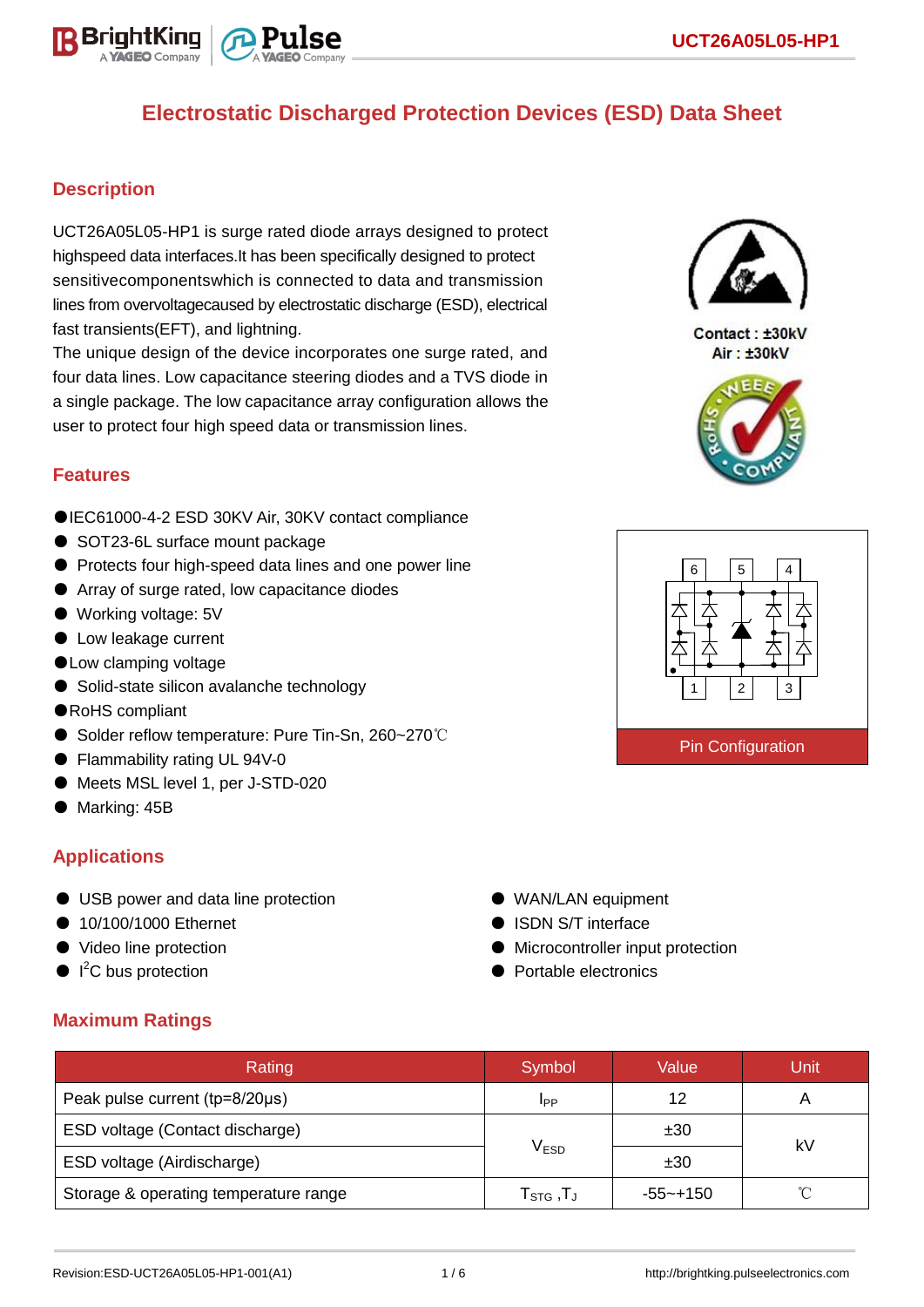

## **Description**

UCT26A05L05-HP1 is surge rated diode arrays designed to protect highspeed data interfaces.It has been specifically designed to protect sensitivecomponentswhich is connected to data and transmission lines from overvoltagecaused by electrostatic discharge (ESD), electrical fast transients(EFT), and lightning.

The unique design of the device incorporates one surge rated, and four data lines. Low capacitance steering diodes and a TVS diode in a single package. The low capacitance array configuration allows the user to protect four high speed data or transmission lines.

### **Features**

- ●IEC61000-4-2 ESD 30KV Air, 30KV contact compliance
- SOT23-6L surface mount package
- Protects four high-speed data lines and one power line
- Array of surge rated, low capacitance diodes
- Working voltage: 5V
- Low leakage current
- ●Low clamping voltage
- Solid-state silicon avalanche technology
- ●RoHS compliant
- Solder reflow temperature: Pure Tin-Sn, 260~270℃
- Flammability rating UL 94V-0
- Meets MSL level 1, per J-STD-020
- Marking: 45B

## **Applications**

- USB power and data line protection
- 10/100/1000 Ethernet
- Video line protection
- $\bullet$  I<sup>2</sup>C bus protection
- WAN/LAN equipment
- ISDN S/T interface
- Microcontroller input protection
- Portable electronics

### **Maximum Ratings**

| Rating                                | Symbol                                            | Value       | Unit |  |
|---------------------------------------|---------------------------------------------------|-------------|------|--|
| Peak pulse current (tp=8/20µs)        | <b>IPP</b>                                        | 12          |      |  |
| ESD voltage (Contact discharge)       |                                                   | ±30         | k٧   |  |
| ESD voltage (Airdischarge)            | V <sub>ESD</sub>                                  | ±30         |      |  |
| Storage & operating temperature range | ${\sf T}_{\mathsf{STG}}$ , ${\sf T}_{\mathsf{J}}$ | $-55$ ~+150 |      |  |



Contact: ±30kV Air: ±30kV



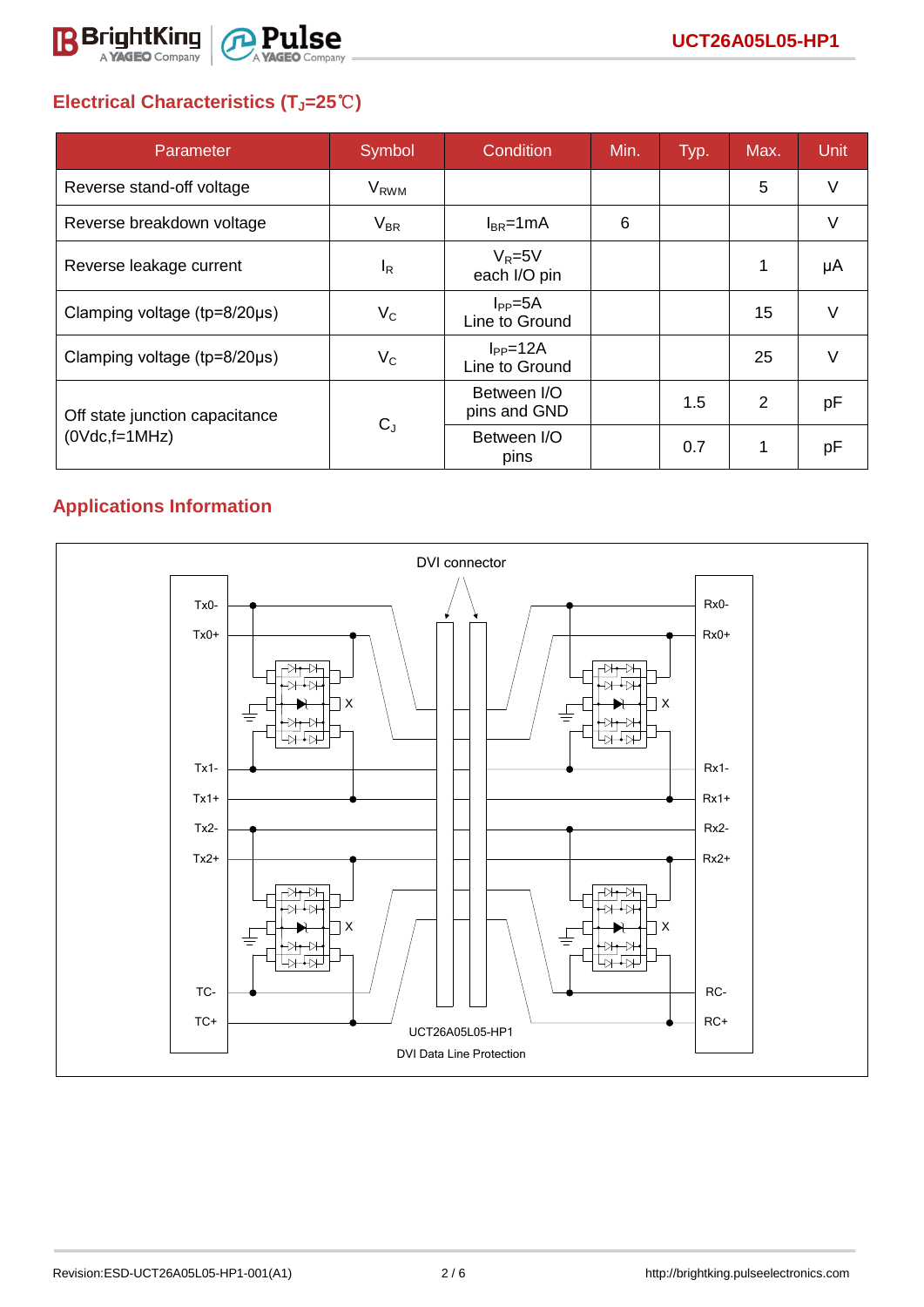

# **Electrical Characteristics (TJ=25**℃**)**

| Parameter                              | Symbol    | Condition                        | Min. | Typ. | Max. | Unit   |
|----------------------------------------|-----------|----------------------------------|------|------|------|--------|
| Reverse stand-off voltage              | $V_{RWM}$ |                                  |      |      | 5    | $\vee$ |
| Reverse breakdown voltage              | $V_{BR}$  | $I_{BR}$ =1mA                    | 6    |      |      | v      |
| Reverse leakage current                | $I_R$     | $V_R = 5V$<br>each I/O pin       |      |      |      | μA     |
| Clamping voltage (tp=8/20µs)           | $V_C$     | $I_{PP} = 5A$<br>Line to Ground  |      |      | 15   | $\vee$ |
| Clamping voltage ( $tp = 8/20 \mu s$ ) | $V_C$     | $I_{PP} = 12A$<br>Line to Ground |      |      | 25   | $\vee$ |
| Off state junction capacitance         | $C_{J}$   | Between I/O<br>pins and GND      |      | 1.5  | 2    | pF     |
| $(0Vdc,f=1MHz)$                        |           | Between I/O<br>pins              |      | 0.7  |      | рF     |

# **Applications Information**

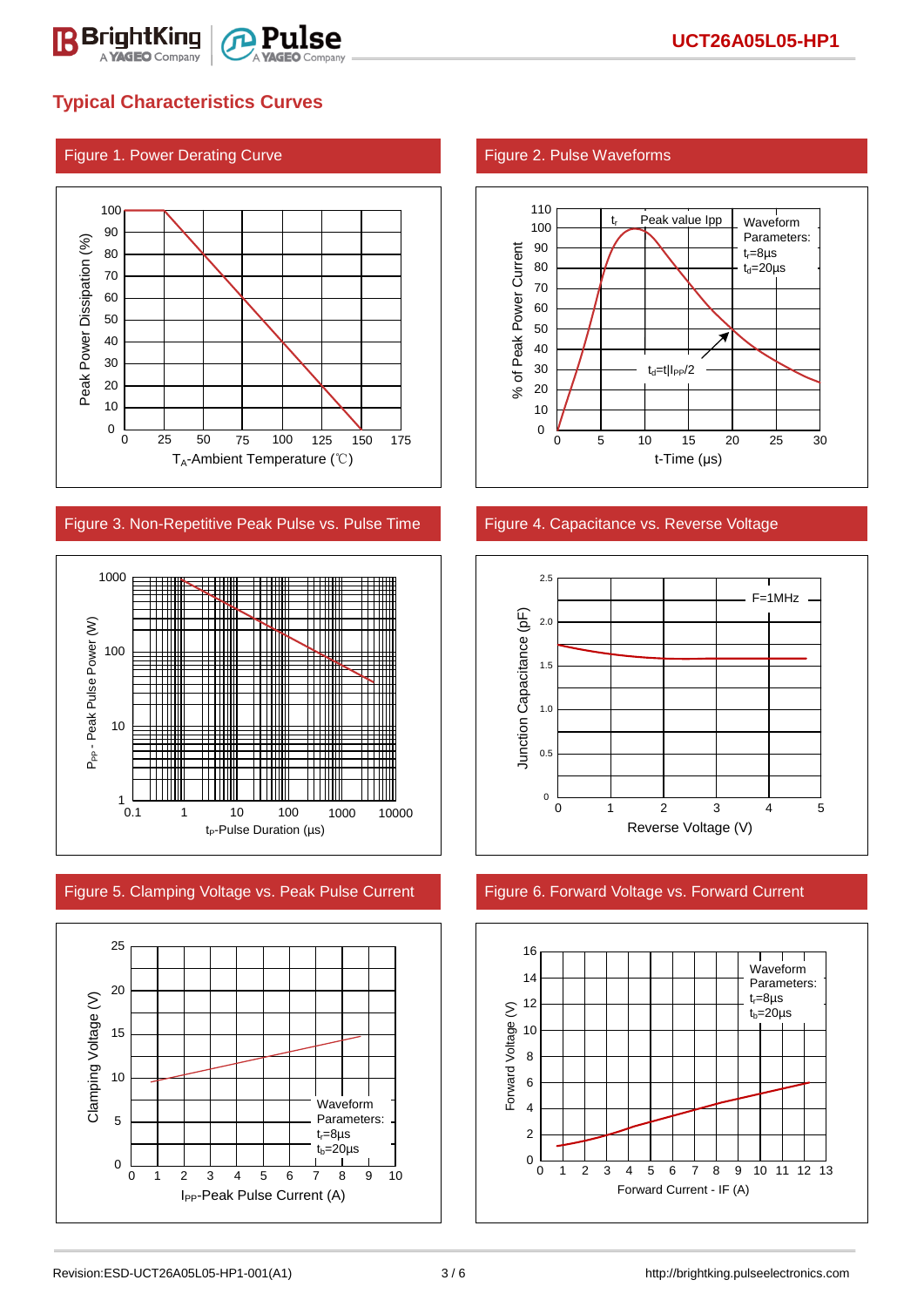

## **Typical Characteristics Curves**

### Figure 1. Power Derating Curve Figure 2. Pulse Waveforms



### Figure 3. Non-Repetitive Peak Pulse vs. Pulse Time Figure 4. Capacitance vs. Reverse Voltage



Figure 5. Clamping Voltage vs. Peak Pulse Current Figure 6. Forward Voltage vs. Forward Current







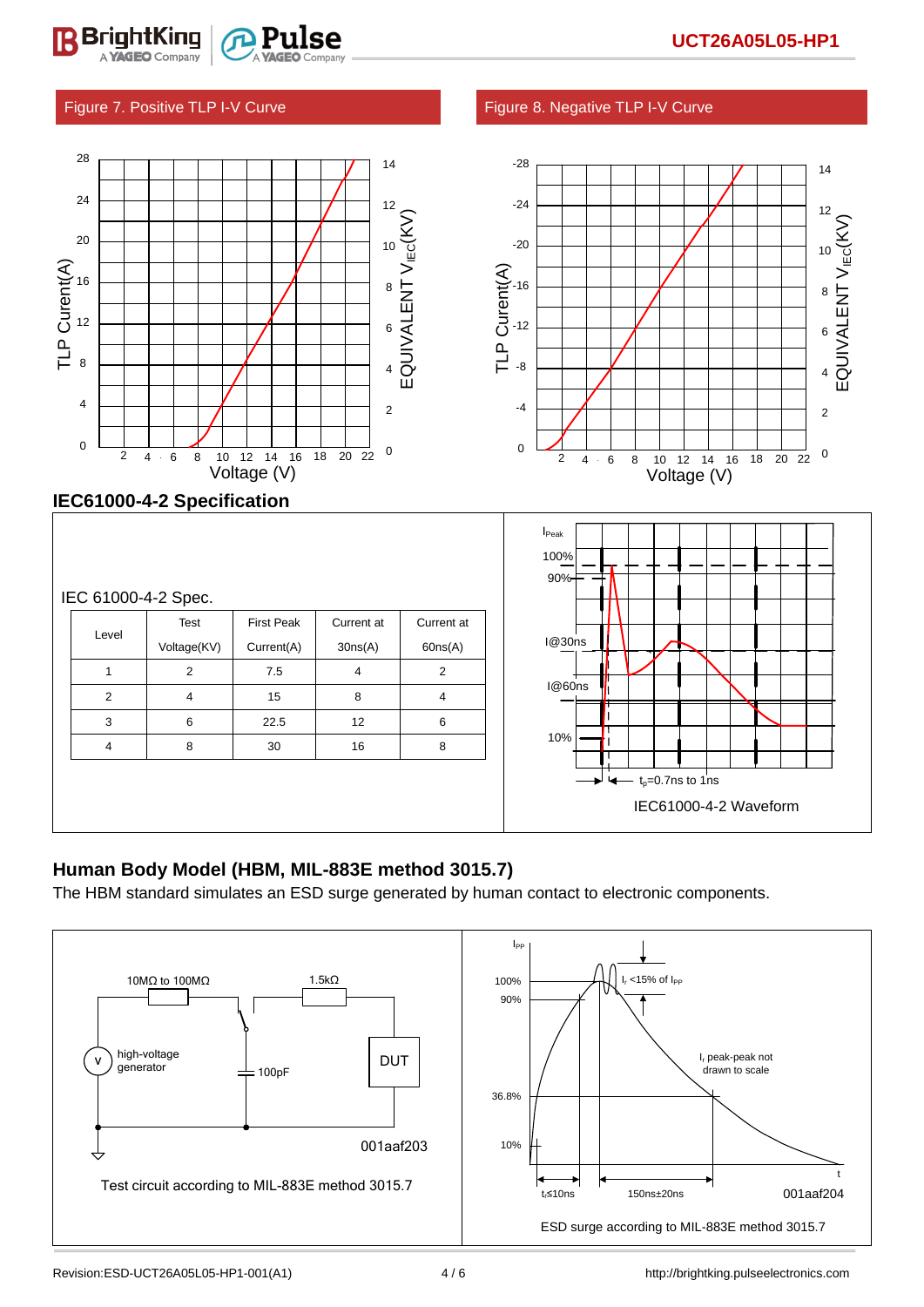### Figure 7. Positive TLP I-V Curve Figure 8. Negative TLP I-V Curve

BriahtKino



| Level          | Test        | <b>First Peak</b> | Current at | Current at |
|----------------|-------------|-------------------|------------|------------|
|                | Voltage(KV) | Current(A)        | 30ns(A)    | 60ns(A)    |
| 1              | 2           | 7.5               | 4          | 2          |
| $\overline{2}$ | 4           | 15                | 8          | 4          |
| 3              | 6           | 22.5              | 12         | 6          |
| $\overline{4}$ | 8           | 30                | 16         | 8          |
|                |             |                   |            |            |
|                |             |                   |            |            |
|                |             |                   |            |            |

### **Human Body Model (HBM, MIL-883E method 3015.7)**

The HBM standard simulates an ESD surge generated by human contact to electronic components.



IEC61000-4-2 Waveform

 $t_0$ =0.7ns to 1ns

`

10%

I@30ns

I@60ns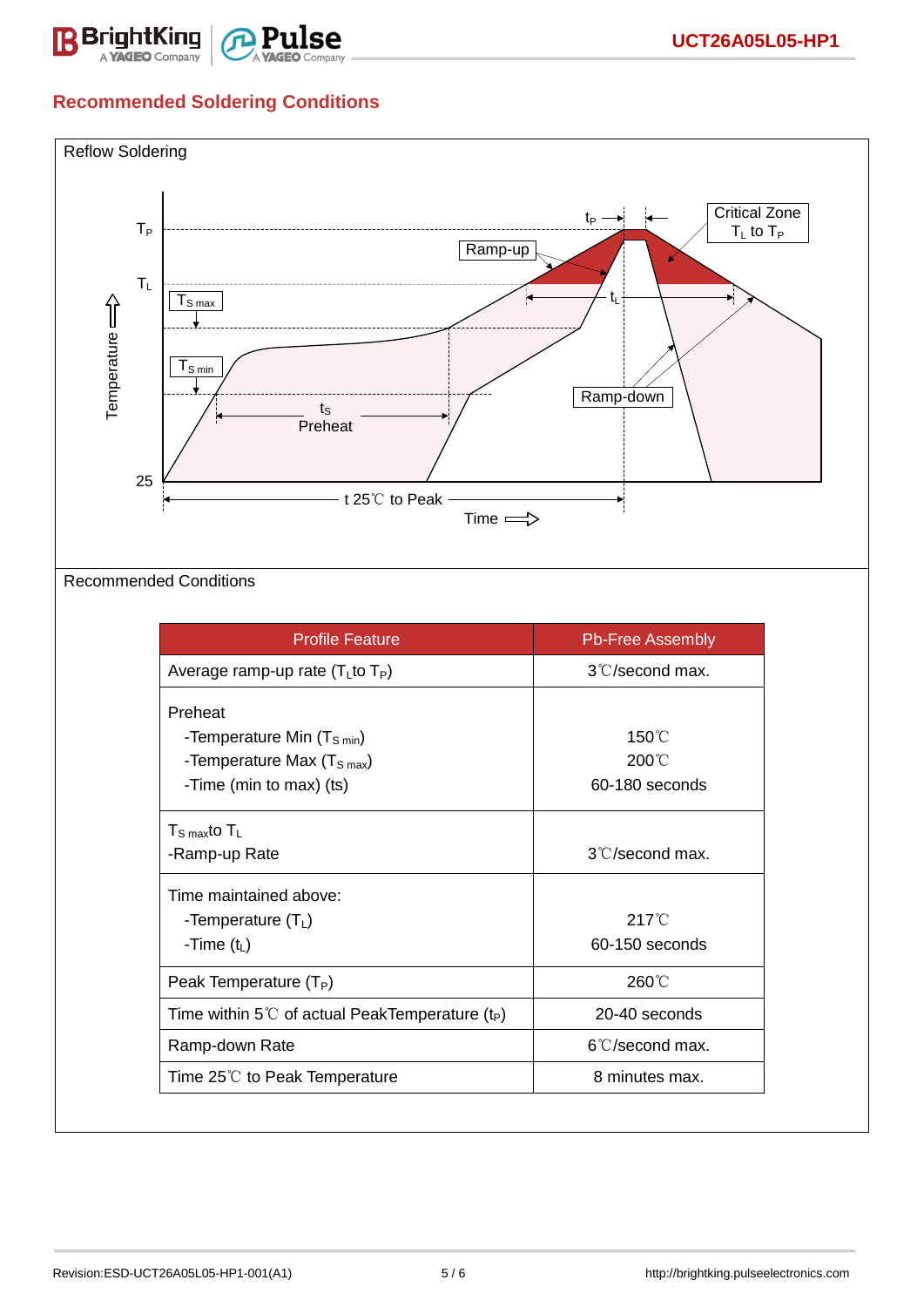

# **Recommended Soldering Conditions**